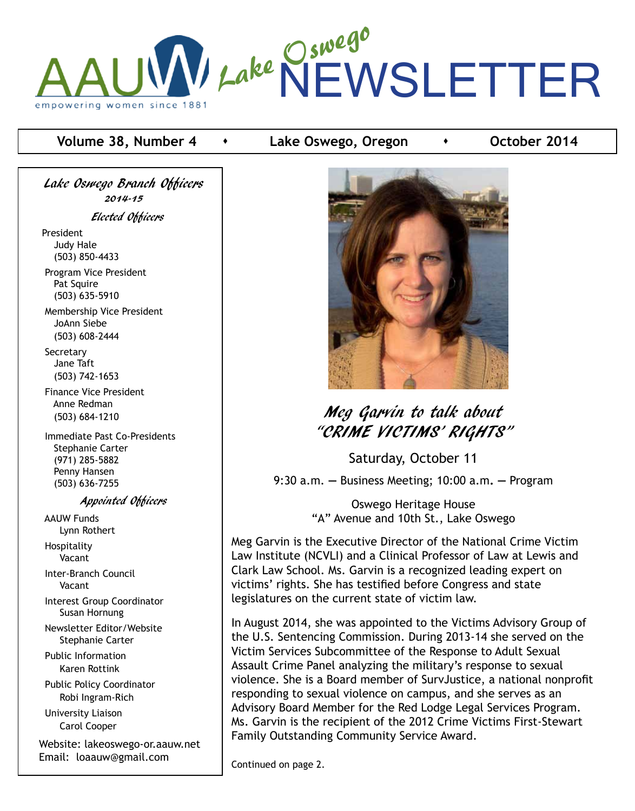

## **Volume 38, Number 4 b Lake Oswego, Oregon <b>example 100000 +** October 2014

Lake Oswego Branch Officers 2014-15 Elected Officers

President Judy Hale (503) 850-4433

 Program Vice President Pat Squire (503) 635-5910

 Membership Vice President JoAnn Siebe (503) 608-2444

**Secretary**  Jane Taft (503) 742-1653

 Finance Vice President Anne Redman (503) 684-1210

 Immediate Past Co-Presidents Stephanie Carter (971) 285-5882 Penny Hansen (503) 636-7255

Appointed Officers

 AAUW Funds Lynn Rothert Hospitality

Vacant

 Inter-Branch Council Vacant

 Interest Group Coordinator Susan Hornung

 Newsletter Editor/Website Stephanie Carter

 Public Information Karen Rottink

 Public Policy Coordinator Robi Ingram-Rich

 University Liaison Carol Cooper

Website: lakeoswego-or.aauw.net Email: loaauw@gmail.com



# Meg Garvin to talk about "CRIME VICTIMS' RIGHTS"

Saturday, October 11

9:30 a.m. **—** Business Meeting; 10:00 a.m**. —** Program

Oswego Heritage House "A" Avenue and 10th St., Lake Oswego

Meg Garvin is the Executive Director of the National Crime Victim Law Institute (NCVLI) and a Clinical Professor of Law at Lewis and Clark Law School. Ms. Garvin is a recognized leading expert on victims' rights. She has testified before Congress and state legislatures on the current state of victim law.

In August 2014, she was appointed to the Victims Advisory Group of the U.S. Sentencing Commission. During 2013-14 she served on the Victim Services Subcommittee of the Response to Adult Sexual Assault Crime Panel analyzing the military's response to sexual violence. She is a Board member of SurvJustice, a national nonprofit responding to sexual violence on campus, and she serves as an Advisory Board Member for the Red Lodge Legal Services Program. Ms. Garvin is the recipient of the 2012 Crime Victims First-Stewart Family Outstanding Community Service Award.

Continued on page 2.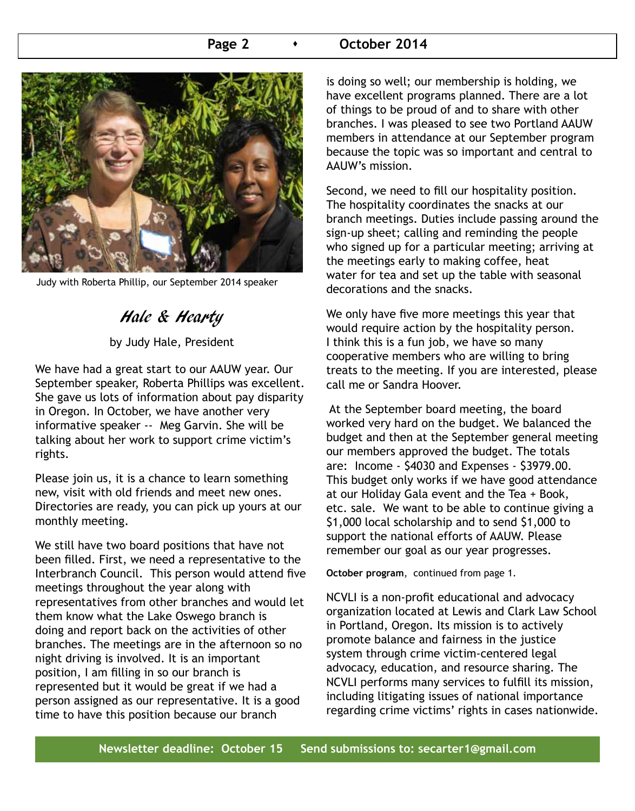#### Page 2 **b October 2014**



Judy with Roberta Phillip, our September 2014 speaker

# Hale & Hearty

by Judy Hale, President

We have had a great start to our AAUW year. Our September speaker, Roberta Phillips was excellent. She gave us lots of information about pay disparity in Oregon. In October, we have another very informative speaker -- Meg Garvin. She will be talking about her work to support crime victim's rights.

Please join us, it is a chance to learn something new, visit with old friends and meet new ones. Directories are ready, you can pick up yours at our monthly meeting.

We still have two board positions that have not been filled. First, we need a representative to the Interbranch Council. This person would attend five meetings throughout the year along with representatives from other branches and would let them know what the Lake Oswego branch is doing and report back on the activities of other branches. The meetings are in the afternoon so no night driving is involved. It is an important position, I am filling in so our branch is represented but it would be great if we had a person assigned as our representative. It is a good time to have this position because our branch

is doing so well; our membership is holding, we have excellent programs planned. There are a lot of things to be proud of and to share with other branches. I was pleased to see two Portland AAUW members in attendance at our September program because the topic was so important and central to AAUW's mission.

Second, we need to fill our hospitality position. The hospitality coordinates the snacks at our branch meetings. Duties include passing around the sign-up sheet; calling and reminding the people who signed up for a particular meeting; arriving at the meetings early to making coffee, heat water for tea and set up the table with seasonal decorations and the snacks.

We only have five more meetings this year that would require action by the hospitality person. I think this is a fun job, we have so many cooperative members who are willing to bring treats to the meeting. If you are interested, please call me or Sandra Hoover.

 At the September board meeting, the board worked very hard on the budget. We balanced the budget and then at the September general meeting our members approved the budget. The totals are: Income - \$4030 and Expenses - \$3979.00. This budget only works if we have good attendance at our Holiday Gala event and the Tea + Book, etc. sale. We want to be able to continue giving a \$1,000 local scholarship and to send \$1,000 to support the national efforts of AAUW. Please remember our goal as our year progresses.

**October program**, continued from page 1.

NCVLI is a non-profit educational and advocacy organization located at Lewis and Clark Law School in Portland, Oregon. Its mission is to actively promote balance and fairness in the justice system through crime victim-centered legal advocacy, education, and resource sharing. The NCVLI performs many services to fulfill its mission, including litigating issues of national importance regarding crime victims' rights in cases nationwide.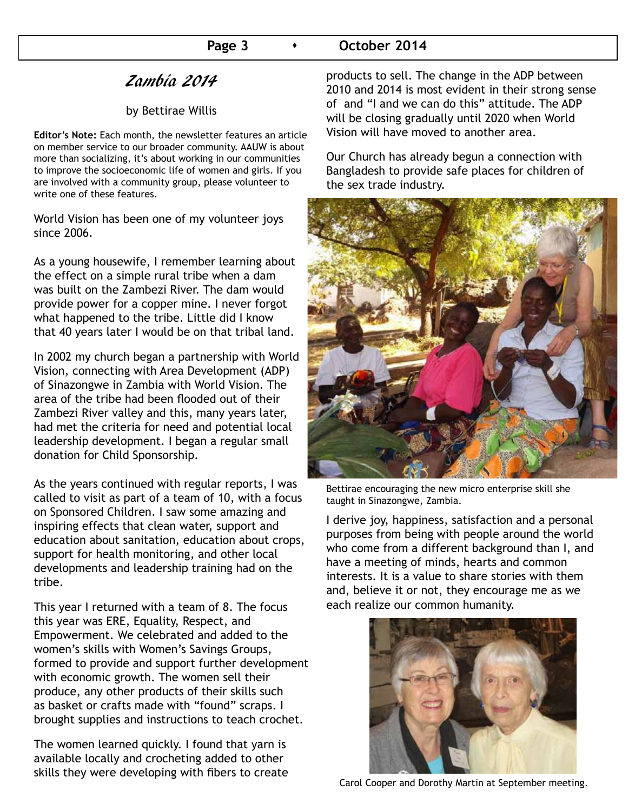### Page 3 **CELO CELOPER 2014**

## Zambia 2014

#### by Bettirae Willis

**Editor's Note:** Each month, the newsletter features an article on member service to our broader community. AAUW is about more than socializing, it's about working in our communities to improve the socioeconomic life of women and girls. If you are involved with a community group, please volunteer to write one of these features.

World Vision has been one of my volunteer joys since 2006.

As a young housewife, I remember learning about the effect on a simple rural tribe when a dam was built on the Zambezi River. The dam would provide power for a copper mine. I never forgot what happened to the tribe. Little did I know that 40 years later I would be on that tribal land.

In 2002 my church began a partnership with World Vision, connecting with Area Development (ADP) of Sinazongwe in Zambia with World Vision. The area of the tribe had been flooded out of their Zambezi River valley and this, many years later, had met the criteria for need and potential local leadership development. I began a regular small donation for Child Sponsorship.

As the years continued with regular reports, I was called to visit as part of a team of 10, with a focus on Sponsored Children. I saw some amazing and inspiring effects that clean water, support and education about sanitation, education about crops, support for health monitoring, and other local developments and leadership training had on the tribe.

This year I returned with a team of 8. The focus this year was ERE, Equality, Respect, and Empowerment. We celebrated and added to the women's skills with Women's Savings Groups, formed to provide and support further development with economic growth. The women sell their produce, any other products of their skills such as basket or crafts made with "found" scraps. I brought supplies and instructions to teach crochet.

The women learned quickly. I found that yarn is available locally and crocheting added to other skills they were developing with fibers to create products to sell. The change in the ADP between 2010 and 2014 is most evident in their strong sense of and "I and we can do this" attitude. The ADP will be closing gradually until 2020 when World Vision will have moved to another area.

Our Church has already begun a connection with Bangladesh to provide safe places for children of the sex trade industry.



Bettirae encouraging the new micro enterprise skill she taught in Sinazongwe, Zambia.

I derive joy, happiness, satisfaction and a personal purposes from being with people around the world who come from a different background than I, and have a meeting of minds, hearts and common interests. It is a value to share stories with them and, believe it or not, they encourage me as we each realize our common humanity.



Carol Cooper and Dorothy Martin at September meeting.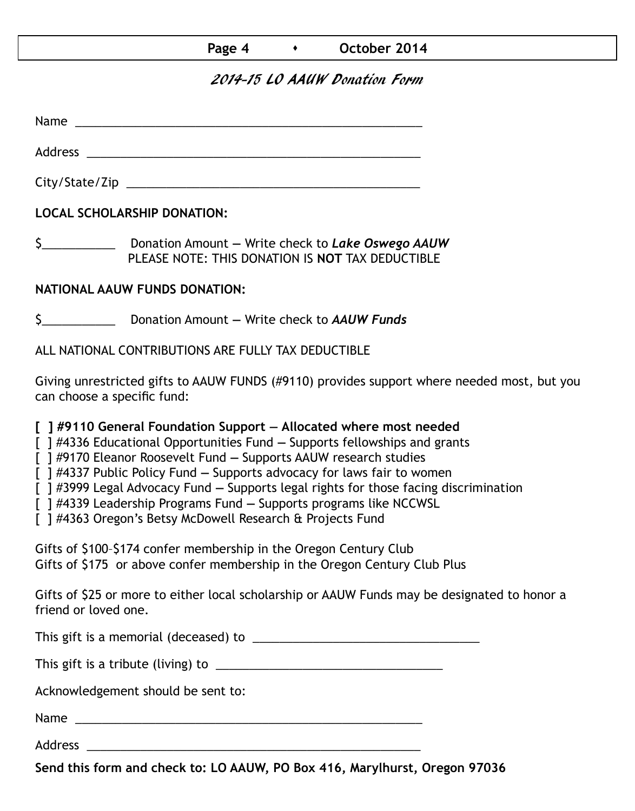## Page 4 **b C October 2014**

## 2014-15 LO AAUW Donation Form

Name was also as  $\sim$  100  $\mu$  and  $\mu$  and  $\mu$  and  $\mu$  and  $\mu$  and  $\mu$  and  $\mu$ 

Address \_\_\_\_\_\_\_\_\_\_\_\_\_\_\_\_\_\_\_\_\_\_\_\_\_\_\_\_\_\_\_\_\_\_\_\_\_\_\_\_\_\_\_\_\_\_\_\_\_\_

City/State/Zip 2000 and 2000 and 2000 and 2000 and 2000 and 2000 and 2000 and 2000 and 2000 and 200

**LOCAL SCHOLARSHIP DONATION:**

\$\_\_\_\_\_\_\_\_\_\_\_ Donation Amount **—** Write check to *Lake Oswego AAUW* PLEASE NOTE: THIS DONATION IS **NOT** TAX DEDUCTIBLE

## **NATIONAL AAUW FUNDS DONATION:**

\$\_\_\_\_\_\_\_\_\_\_\_ Donation Amount **—** Write check to *AAUW Funds*

ALL NATIONAL CONTRIBUTIONS ARE FULLY TAX DEDUCTIBLE

Giving unrestricted gifts to AAUW FUNDS (#9110) provides support where needed most, but you can choose a specific fund:

**[ ] #9110 General Foundation Support — Allocated where most needed** 

[ ] #4336 Educational Opportunities Fund **—** Supports fellowships and grants

[ ] #9170 Eleanor Roosevelt Fund **—** Supports AAUW research studies

[ ] #4337 Public Policy Fund **—** Supports advocacy for laws fair to women

[ ] #3999 Legal Advocacy Fund **—** Supports legal rights for those facing discrimination

[ ] #4339 Leadership Programs Fund **—** Supports programs like NCCWSL

[ ] #4363 Oregon's Betsy McDowell Research & Projects Fund

Gifts of \$100–\$174 confer membership in the Oregon Century Club Gifts of \$175 or above confer membership in the Oregon Century Club Plus

Gifts of \$25 or more to either local scholarship or AAUW Funds may be designated to honor a friend or loved one.

This gift is a memorial (deceased) to \_\_\_\_\_\_\_\_\_\_\_\_\_\_\_\_\_\_\_\_\_\_\_\_\_\_\_\_\_\_\_\_\_\_

This gift is a tribute (living) to \_\_\_\_\_\_\_\_\_\_\_\_\_\_\_\_\_\_\_\_\_\_\_\_\_\_\_\_\_\_\_\_\_\_

Acknowledgement should be sent to:

Name \_\_\_\_\_\_\_\_\_\_\_\_\_\_\_\_\_\_\_\_\_\_\_\_\_\_\_\_\_\_\_\_\_\_\_\_\_\_\_\_\_\_\_\_\_\_\_\_\_\_\_\_

Address \_\_\_\_\_\_\_\_\_\_\_\_\_\_\_\_\_\_\_\_\_\_\_\_\_\_\_\_\_\_\_\_\_\_\_\_\_\_\_\_\_\_\_\_\_\_\_\_\_\_

**Send this form and check to: LO AAUW, PO Box 416, Marylhurst, Oregon 97036**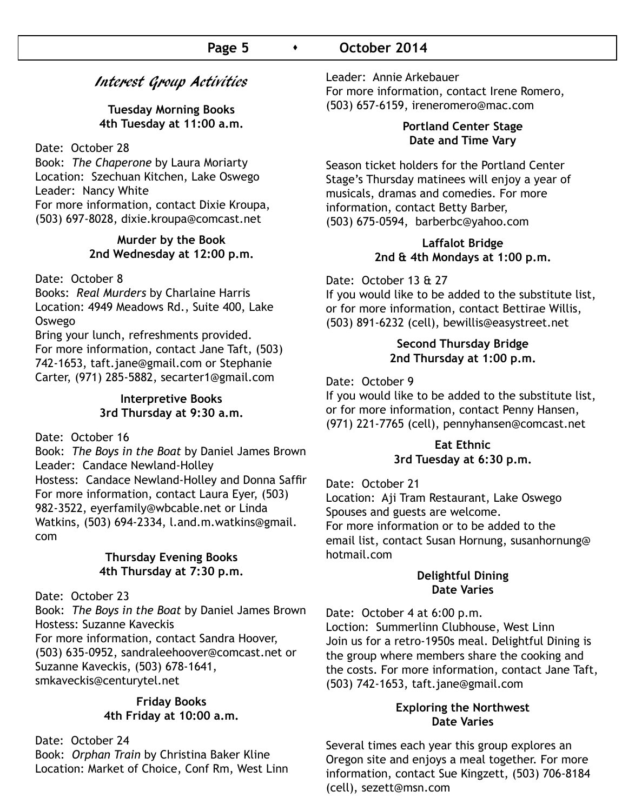## Interest Group Activities

**Tuesday Morning Books 4th Tuesday at 11:00 a.m.**

Date: October 28

Book: *The Chaperone* by Laura Moriarty Location: Szechuan Kitchen, Lake Oswego Leader: Nancy White For more information, contact Dixie Kroupa, (503) 697-8028, dixie.kroupa@comcast.net

#### **Murder by the Book 2nd Wednesday at 12:00 p.m.**

#### Date: October 8

Books: *Real Murders* by Charlaine Harris Location: 4949 Meadows Rd., Suite 400, Lake Oswego

Bring your lunch, refreshments provided. For more information, contact Jane Taft, (503) 742-1653, taft.jane@gmail.com or Stephanie Carter, (971) 285-5882, secarter1@gmail.com

#### **Interpretive Books 3rd Thursday at 9:30 a.m.**

Date: October 16

Book: *The Boys in the Boat* by Daniel James Brown Leader: Candace Newland-Holley Hostess: Candace Newland-Holley and Donna Saffir For more information, contact Laura Eyer, (503) 982-3522, eyerfamily@wbcable.net or Linda Watkins, (503) 694-2334, l.and.m.watkins@gmail. com

#### **Thursday Evening Books 4th Thursday at 7:30 p.m.**

Date: October 23

Book: *The Boys in the Boat* by Daniel James Brown Hostess: Suzanne Kaveckis

For more information, contact Sandra Hoover, (503) 635-0952, sandraleehoover@comcast.net or Suzanne Kaveckis, (503) 678-1641, smkaveckis@centurytel.net

#### **Friday Books 4th Friday at 10:00 a.m.**

Date: October 24 Book: *Orphan Train* by Christina Baker Kline Location: Market of Choice, Conf Rm, West Linn Leader: Annie Arkebauer

For more information, contact Irene Romero, (503) 657-6159, ireneromero@mac.com

#### **Portland Center Stage Date and Time Vary**

Season ticket holders for the Portland Center Stage's Thursday matinees will enjoy a year of musicals, dramas and comedies. For more information, contact Betty Barber, (503) 675-0594, barberbc@yahoo.com

#### **Laffalot Bridge 2nd & 4th Mondays at 1:00 p.m.**

#### Date: October 13 & 27

If you would like to be added to the substitute list, or for more information, contact Bettirae Willis, (503) 891-6232 (cell), bewillis@easystreet.net

#### **Second Thursday Bridge 2nd Thursday at 1:00 p.m.**

Date: October 9

If you would like to be added to the substitute list, or for more information, contact Penny Hansen, (971) 221-7765 (cell), pennyhansen@comcast.net

#### **Eat Ethnic 3rd Tuesday at 6:30 p.m.**

#### Date: October 21

Location: Aji Tram Restaurant, Lake Oswego Spouses and guests are welcome. For more information or to be added to the email list, contact Susan Hornung, susanhornung@ hotmail.com

#### **Delightful Dining Date Varies**

Date: October 4 at 6:00 p.m. Loction: Summerlinn Clubhouse, West Linn Join us for a retro-1950s meal. Delightful Dining is the group where members share the cooking and the costs. For more information, contact Jane Taft, (503) 742-1653, taft.jane@gmail.com

#### **Exploring the Northwest Date Varies**

Several times each year this group explores an Oregon site and enjoys a meal together. For more information, contact Sue Kingzett, (503) 706-8184 (cell), sezett@msn.com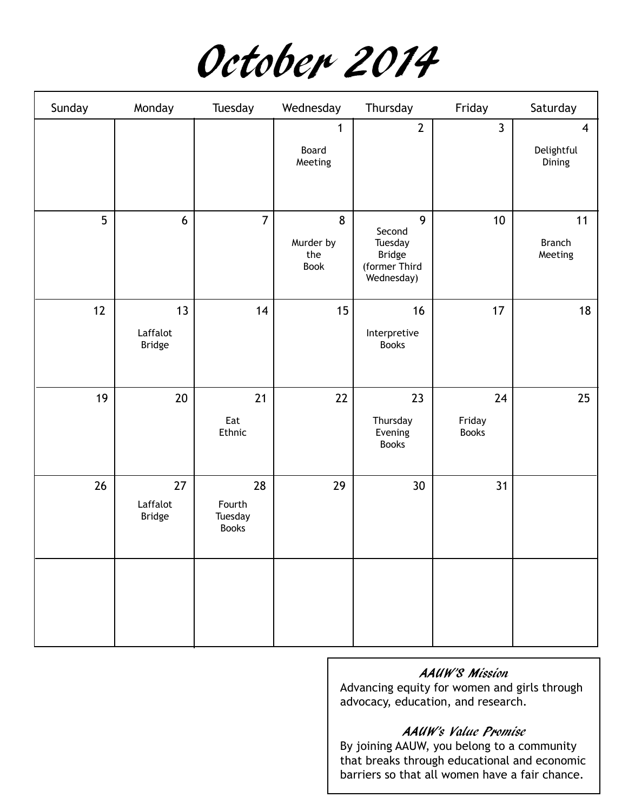| Sunday | Monday                          | Tuesday                                 | Wednesday                            | Thursday                                                               | Friday                       | Saturday                               |
|--------|---------------------------------|-----------------------------------------|--------------------------------------|------------------------------------------------------------------------|------------------------------|----------------------------------------|
|        |                                 |                                         | 1<br>Board<br>Meeting                | $\overline{2}$                                                         | $\overline{3}$               | $\overline{4}$<br>Delightful<br>Dining |
| 5      | 6                               | $\overline{7}$                          | 8<br>Murder by<br>the<br><b>Book</b> | 9<br>Second<br>Tuesday<br><b>Bridge</b><br>(former Third<br>Wednesday) | 10 <sup>1</sup>              | 11<br><b>Branch</b><br>Meeting         |
| 12     | 13<br>Laffalot<br>Bridge        | 14                                      | 15                                   | 16<br>Interpretive<br><b>Books</b>                                     | 17                           | 18                                     |
| 19     | $20\,$                          | 21<br>Eat<br>Ethnic                     | 22                                   | 23<br>Thursday<br>Evening<br><b>Books</b>                              | 24<br>Friday<br><b>Books</b> | 25                                     |
| 26     | 27<br>Laffalot<br><b>Bridge</b> | 28<br>Fourth<br>Tuesday<br><b>Books</b> | 29                                   | 30 <sup>°</sup>                                                        | 31                           |                                        |
|        |                                 |                                         |                                      |                                                                        |                              |                                        |

## AAUW'S Mission

Advancing equity for women and girls through advocacy, education, and research.

## AAUW's Value Promise

By joining AAUW, you belong to a community that breaks through educational and economic barriers so that all women have a fair chance.